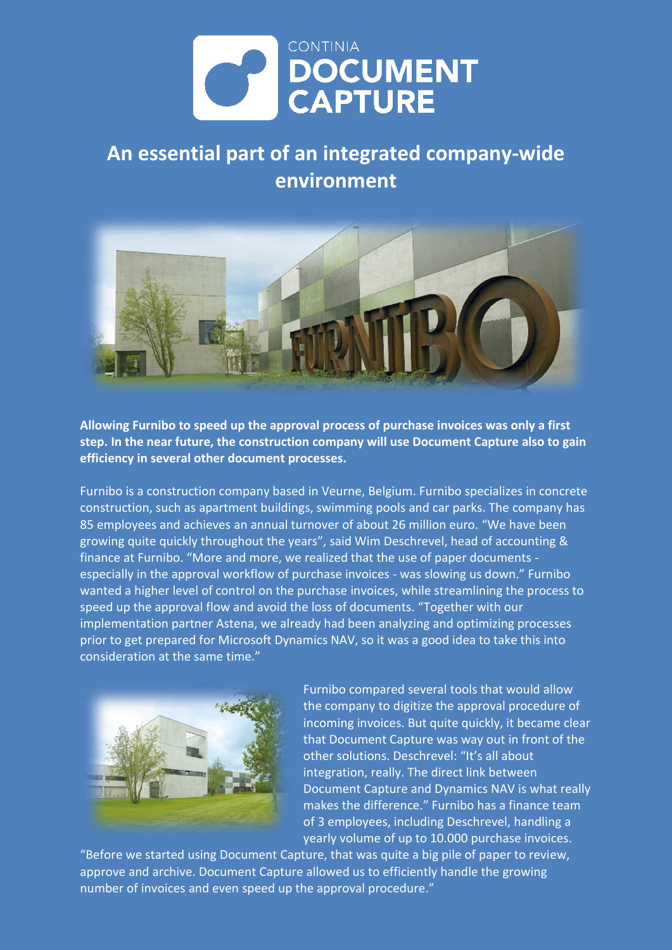

## **An essential part of an integrated company-wide environment**



**Allowing Furnibo to speed up the approval process of purchase invoices was only a first step. In the near future, the construction company will use Document Capture also to gain efficiency in several other document processes.**

Furnibo is a construction company based in Veurne, Belgium. Furnibo specializes in concrete construction, such as apartment buildings, swimming pools and car parks. The company has 85 employees and achieves an annual turnover of about 26 million euro. "We have been growing quite quickly throughout the years", said Wim Deschrevel, head of accounting & finance at Furnibo. "More and more, we realized that the use of paper documents especially in the approval workflow of purchase invoices - was slowing us down." Furnibo wanted a higher level of control on the purchase invoices, while streamlining the process to speed up the approval flow and avoid the loss of documents. "Together with our implementation partner Astena, we already had been analyzing and optimizing processes prior to get prepared for Microsoft Dynamics NAV, so it was a good idea to take this into consideration at the same time."

![](_page_0_Picture_5.jpeg)

Furnibo compared several tools that would allow the company to digitize the approval procedure of incoming invoices. But quite quickly, it became clear that Document Capture was way out in front of the other solutions. Deschrevel: "It's all about integration, really. The direct link between Document Capture and Dynamics NAV is what really makes the difference." Furnibo has a finance team of 3 employees, including Deschrevel, handling a yearly volume of up to 10.000 purchase invoices.

"Before we started using Document Capture, that was quite a big pile of paper to review, approve and archive. Document Capture allowed us to efficiently handle the growing number of invoices and even speed up the approval procedure."